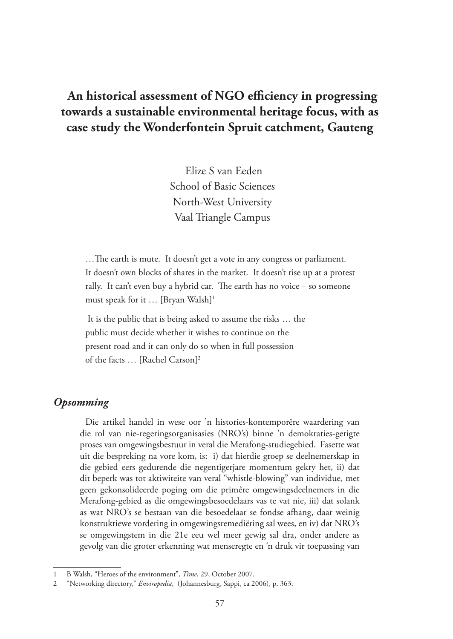# **An historical assessment of NGO efficiency in progressing towards a sustainable environmental heritage focus, with as case study the Wonderfontein Spruit catchment, Gauteng**

 Elize S van Eeden School of Basic Sciences North-West University Vaal Triangle Campus

…The earth is mute. It doesn't get a vote in any congress or parliament. It doesn't own blocks of shares in the market. It doesn't rise up at a protest rally. It can't even buy a hybrid car. The earth has no voice – so someone must speak for it … [Bryan Walsh]1

 It is the public that is being asked to assume the risks … the public must decide whether it wishes to continue on the present road and it can only do so when in full possession of the facts … [Rachel Carson]2

### *Opsomming*

Die artikel handel in wese oor 'n histories-kontemporêre waardering van die rol van nie-regeringsorganisasies (NRO's) binne 'n demokraties-gerigte proses van omgewingsbestuur in veral die Merafong-studiegebied. Fasette wat uit die bespreking na vore kom, is: i) dat hierdie groep se deelnemerskap in die gebied eers gedurende die negentigerjare momentum gekry het, ii) dat dit beperk was tot aktiwiteite van veral "whistle-blowing" van individue, met geen gekonsolideerde poging om die primêre omgewingsdeelnemers in die Merafong-gebied as die omgewingsbesoedelaars vas te vat nie, iii) dat solank as wat NRO's se bestaan van die besoedelaar se fondse afhang, daar weinig konstruktiewe vordering in omgewingsremediëring sal wees, en iv) dat NRO's se omgewingstem in die 21e eeu wel meer gewig sal dra, onder andere as gevolg van die groter erkenning wat menseregte en 'n druk vir toepassing van

<sup>1</sup> B Walsh, "Heroes of the environment", *Time*, 29, October 2007.

<sup>2</sup> "Networking directory," *Enviropedia*, (Johannesburg, Sappi, ca 2006), p. 363.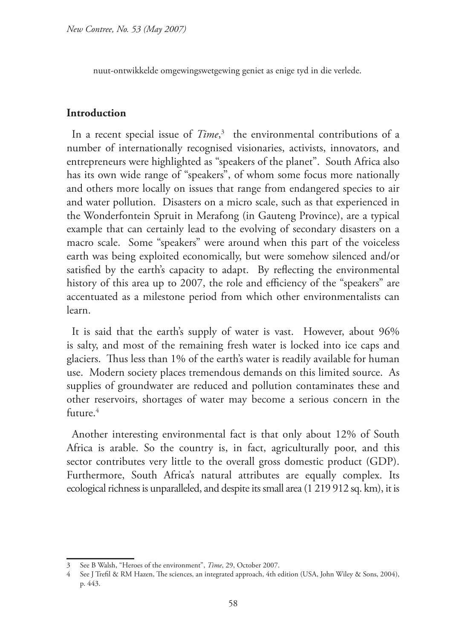nuut-ontwikkelde omgewingswetgewing geniet as enige tyd in die verlede.

## **Introduction**

In a recent special issue of *Time*, 3 the environmental contributions of a number of internationally recognised visionaries, activists, innovators, and entrepreneurs were highlighted as "speakers of the planet". South Africa also has its own wide range of "speakers", of whom some focus more nationally and others more locally on issues that range from endangered species to air and water pollution. Disasters on a micro scale, such as that experienced in the Wonderfontein Spruit in Merafong (in Gauteng Province), are a typical example that can certainly lead to the evolving of secondary disasters on a macro scale. Some "speakers" were around when this part of the voiceless earth was being exploited economically, but were somehow silenced and/or satisfied by the earth's capacity to adapt. By reflecting the environmental history of this area up to 2007, the role and efficiency of the "speakers" are accentuated as a milestone period from which other environmentalists can learn.

It is said that the earth's supply of water is vast. However, about 96% is salty, and most of the remaining fresh water is locked into ice caps and glaciers. Thus less than 1% of the earth's water is readily available for human use. Modern society places tremendous demands on this limited source. As supplies of groundwater are reduced and pollution contaminates these and other reservoirs, shortages of water may become a serious concern in the future.<sup>4</sup>

Another interesting environmental fact is that only about 12% of South Africa is arable. So the country is, in fact, agriculturally poor, and this sector contributes very little to the overall gross domestic product (GDP). Furthermore, South Africa's natural attributes are equally complex. Its ecological richness is unparalleled, and despite its small area (1 219 912 sq. km), it is

<sup>3</sup> See B Walsh, "Heroes of the environment", *Time*, 29, October 2007.

<sup>4</sup> See J Trefil & RM Hazen, The sciences, an integrated approach, 4th edition (USA, John Wiley & Sons, 2004), p. 443.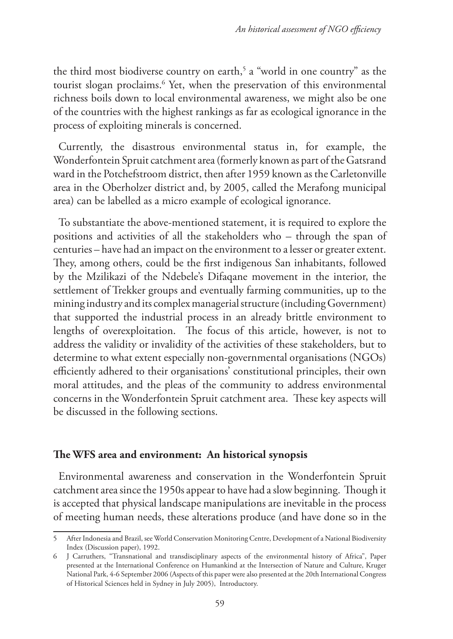the third most biodiverse country on earth,<sup>5</sup> a "world in one country" as the tourist slogan proclaims.6 Yet, when the preservation of this environmental richness boils down to local environmental awareness, we might also be one of the countries with the highest rankings as far as ecological ignorance in the process of exploiting minerals is concerned.

Currently, the disastrous environmental status in, for example, the Wonderfontein Spruit catchment area (formerly known as part of the Gatsrand ward in the Potchefstroom district, then after 1959 known as the Carletonville area in the Oberholzer district and, by 2005, called the Merafong municipal area) can be labelled as a micro example of ecological ignorance.

To substantiate the above-mentioned statement, it is required to explore the positions and activities of all the stakeholders who – through the span of centuries – have had an impact on the environment to a lesser or greater extent. They, among others, could be the first indigenous San inhabitants, followed by the Mzilikazi of the Ndebele's Difaqane movement in the interior, the settlement of Trekker groups and eventually farming communities, up to the mining industry and its complex managerial structure (including Government) that supported the industrial process in an already brittle environment to lengths of overexploitation. The focus of this article, however, is not to address the validity or invalidity of the activities of these stakeholders, but to determine to what extent especially non-governmental organisations (NGOs) efficiently adhered to their organisations' constitutional principles, their own moral attitudes, and the pleas of the community to address environmental concerns in the Wonderfontein Spruit catchment area. These key aspects will be discussed in the following sections.

## **The WFS area and environment: An historical synopsis**

Environmental awareness and conservation in the Wonderfontein Spruit catchment area since the 1950s appear to have had a slow beginning. Though it is accepted that physical landscape manipulations are inevitable in the process of meeting human needs, these alterations produce (and have done so in the

<sup>5</sup> After Indonesia and Brazil, see World Conservation Monitoring Centre, Development of a National Biodiversity Index (Discussion paper), 1992.

<sup>6</sup> J Carruthers, "Transnational and transdisciplinary aspects of the environmental history of Africa", Paper presented at the International Conference on Humankind at the Intersection of Nature and Culture, Kruger National Park, 4-6 September 2006 (Aspects of this paper were also presented at the 20th International Congress of Historical Sciences held in Sydney in July 2005), Introductory.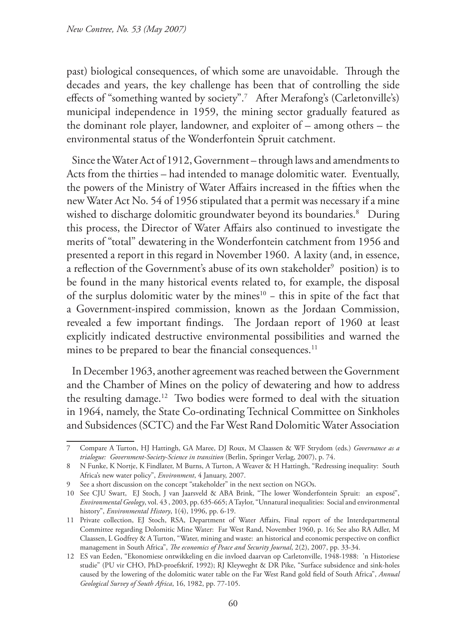past) biological consequences, of which some are unavoidable. Through the decades and years, the key challenge has been that of controlling the side effects of "something wanted by society".7 After Merafong's (Carletonville's) municipal independence in 1959, the mining sector gradually featured as the dominant role player, landowner, and exploiter of – among others – the environmental status of the Wonderfontein Spruit catchment.

Since the Water Act of 1912, Government – through laws and amendments to Acts from the thirties – had intended to manage dolomitic water. Eventually, the powers of the Ministry of Water Affairs increased in the fifties when the new Water Act No. 54 of 1956 stipulated that a permit was necessary if a mine wished to discharge dolomitic groundwater beyond its boundaries.8 During this process, the Director of Water Affairs also continued to investigate the merits of "total" dewatering in the Wonderfontein catchment from 1956 and presented a report in this regard in November 1960. A laxity (and, in essence, a reflection of the Government's abuse of its own stakeholder $^{\circ}\,$  position) is to be found in the many historical events related to, for example, the disposal of the surplus dolomitic water by the mines<sup>10</sup> − this in spite of the fact that a Government-inspired commission, known as the Jordaan Commission, revealed a few important findings. The Jordaan report of 1960 at least explicitly indicated destructive environmental possibilities and warned the mines to be prepared to bear the financial consequences.<sup>11</sup>

In December 1963, another agreement was reached between the Government and the Chamber of Mines on the policy of dewatering and how to address the resulting damage.12 Two bodies were formed to deal with the situation in 1964, namely, the State Co-ordinating Technical Committee on Sinkholes and Subsidences (SCTC) and the Far West Rand Dolomitic Water Association

<sup>7</sup> Compare A Turton, HJ Hattingh, GA Maree, DJ Roux, M Claassen & WF Strydom (eds.) *Governance as a trialogue: Government-Society-Science in transition* (Berlin, Springer Verlag, 2007), p. 74.

<sup>8</sup> N Funke, K Nortje, K Findlater, M Burns, A Turton, A Weaver & H Hattingh, "Redressing inequality: South Africa's new water policy", *Environment*, 4 January, 2007.

<sup>9</sup> See a short discussion on the concept "stakeholder" in the next section on NGOs.

<sup>10</sup> See CJU Swart, EJ Stoch, J van Jaarsveld & ABA Brink, "The lower Wonderfontein Spruit: an exposé", *Environmental Geology*, vol. 43 , 2003, pp. 635-665; A Taylor, "Unnatural inequalities: Social and environmental history", *Environmental History*, 1(4), 1996, pp. 6-19.

<sup>11</sup> Private collection, EJ Stoch, RSA, Department of Water Affairs, Final report of the Interdepartmental Committee regarding Dolomitic Mine Water: Far West Rand, November 1960, p. 16; See also RA Adler, M Claassen, L Godfrey & A Turton, "Water, mining and waste: an historical and economic perspective on conflict management in South Africa", *The economics of Peace and Security Journal*, 2(2), 2007, pp. 33-34.

<sup>12</sup> ES van Eeden, "Ekonomiese ontwikkeling en die invloed daarvan op Carletonville, 1948-1988: 'n Historiese studie" (PU vir CHO, PhD-proefskrif, 1992); RJ Kleyweght & DR Pike, "Surface subsidence and sink-holes caused by the lowering of the dolomitic water table on the Far West Rand gold field of South Africa", *Annual Geological Survey of South Africa*, 16, 1982, pp. 77-105.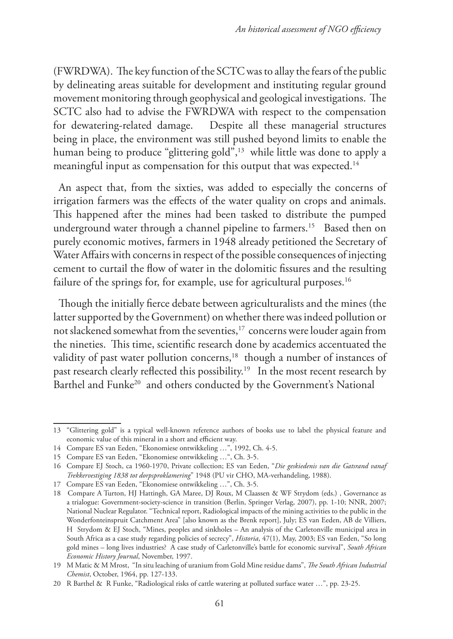(FWRDWA). The key function of the SCTC was to allay the fears of the public by delineating areas suitable for development and instituting regular ground movement monitoring through geophysical and geological investigations. The SCTC also had to advise the FWRDWA with respect to the compensation for dewatering-related damage. Despite all these managerial structures being in place, the environment was still pushed beyond limits to enable the human being to produce "glittering gold",<sup>13</sup> while little was done to apply a meaningful input as compensation for this output that was expected.<sup>14</sup>

An aspect that, from the sixties, was added to especially the concerns of irrigation farmers was the effects of the water quality on crops and animals. This happened after the mines had been tasked to distribute the pumped underground water through a channel pipeline to farmers.<sup>15</sup> Based then on purely economic motives, farmers in 1948 already petitioned the Secretary of Water Affairs with concerns in respect of the possible consequences of injecting cement to curtail the flow of water in the dolomitic fissures and the resulting failure of the springs for, for example, use for agricultural purposes.<sup>16</sup>

Though the initially fierce debate between agriculturalists and the mines (the latter supported by the Government) on whether there was indeed pollution or not slackened somewhat from the seventies,<sup>17</sup> concerns were louder again from the nineties. This time, scientific research done by academics accentuated the validity of past water pollution concerns,<sup>18</sup> though a number of instances of past research clearly reflected this possibility.19 In the most recent research by Barthel and Funke<sup>20</sup> and others conducted by the Government's National

<sup>13</sup> "Glittering gold" is a typical well-known reference authors of books use to label the physical feature and economic value of this mineral in a short and efficient way.

<sup>14</sup> Compare ES van Eeden, "Ekonomiese ontwikkeling …", 1992, Ch. 4-5.

<sup>15</sup> Compare ES van Eeden, "Ekonomiese ontwikkeling …", Ch. 3-5.

<sup>16</sup> Compare EJ Stoch, ca 1960-1970, Private collection; ES van Eeden, "*Die geskiedenis van die Gatsrand vanaf Trekkervestiging 1838 tot dorpsproklamering*" 1948 (PU vir CHO, MA-verhandeling, 1988).

<sup>17</sup> Compare ES van Eeden, "Ekonomiese ontwikkeling …", Ch. 3-5.

<sup>18</sup> Compare A Turton, HJ Hattingh, GA Maree, DJ Roux, M Claassen & WF Strydom (eds.) , Governance as a trialogue: Government-society-science in transition (Berlin, Springer Verlag, 2007), pp. 1-10; NNR, 2007; National Nuclear Regulator. "Technical report, Radiological impacts of the mining activities to the public in the Wonderfonteinspruit Catchment Area" [also known as the Brenk report], July; ES van Eeden, AB de Villiers, H Strydom & EJ Stoch, "Mines, peoples and sinkholes – An analysis of the Carletonville municipal area in South Africa as a case study regarding policies of secrecy", *Historia*, 47(1), May, 2003; ES van Eeden, "So long gold mines – long lives industries? A case study of Carletonville's battle for economic survival", *South African Economic History Journal*, November, 1997.

<sup>19</sup> M Matic & M Mrost, "In situ leaching of uranium from Gold Mine residue dams", *The South African Industrial Chemist*, October, 1964, pp. 127-133.

<sup>20</sup> R Barthel & R Funke, "Radiological risks of cattle watering at polluted surface water …", pp. 23-25.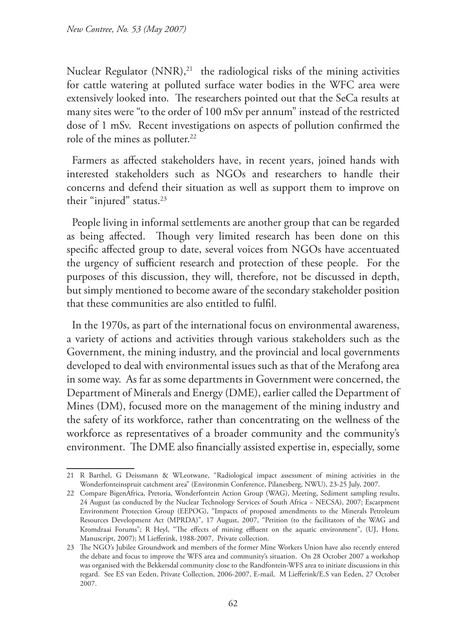Nuclear Regulator (NNR),<sup>21</sup> the radiological risks of the mining activities for cattle watering at polluted surface water bodies in the WFC area were extensively looked into. The researchers pointed out that the SeCa results at many sites were "to the order of 100 mSv per annum" instead of the restricted dose of 1 mSv. Recent investigations on aspects of pollution confirmed the role of the mines as polluter.<sup>22</sup>

Farmers as affected stakeholders have, in recent years, joined hands with interested stakeholders such as NGOs and researchers to handle their concerns and defend their situation as well as support them to improve on their "injured" status.<sup>23</sup>

People living in informal settlements are another group that can be regarded as being affected. Though very limited research has been done on this specific affected group to date, several voices from NGOs have accentuated the urgency of sufficient research and protection of these people. For the purposes of this discussion, they will, therefore, not be discussed in depth, but simply mentioned to become aware of the secondary stakeholder position that these communities are also entitled to fulfil.

In the 1970s, as part of the international focus on environmental awareness, a variety of actions and activities through various stakeholders such as the Government, the mining industry, and the provincial and local governments developed to deal with environmental issues such as that of the Merafong area in some way. As far as some departments in Government were concerned, the Department of Minerals and Energy (DME), earlier called the Department of Mines (DM), focused more on the management of the mining industry and the safety of its workforce, rather than concentrating on the wellness of the workforce as representatives of a broader community and the community's environment. The DME also financially assisted expertise in, especially, some

<sup>21</sup> R Barthel, G Deissmann & WLeotwane, "Radiological impact assessment of mining activities in the Wonderfonteinspruit catchment area" (Environmin Conference, Pilanesberg, NWU), 23-25 July, 2007.

<sup>22</sup> Compare BigenAfrica, Pretoria, Wonderfontein Action Group (WAG), Meeting, Sediment sampling results, 24 August (as conducted by the Nuclear Technology Services of South Africa − NECSA), 2007; Escarpment Environment Protection Group (EEPOG), "Impacts of proposed amendments to the Minerals Petroleum Resources Development Act (MPRDA)", 17 August, 2007, "Petition (to the facilitators of the WAG and Kromdraai Forums"; R Heyl, "The effects of mining effluent on the aquatic environment", (UJ, Hons. Manuscript, 2007); M Liefferink, 1988-2007, Private collection.

<sup>23</sup> The NGO's Jubilee Groundwork and members of the former Mine Workers Union have also recently entered the debate and focus to improve the WFS area and community's situation. On 28 October 2007 a workshop was organised with the Bekkersdal community close to the Randfontein-WFS area to initiate discussions in this regard. See ES van Eeden, Private Collection, 2006-2007, E-mail, M Liefferink/E.S van Eeden, 27 October 2007.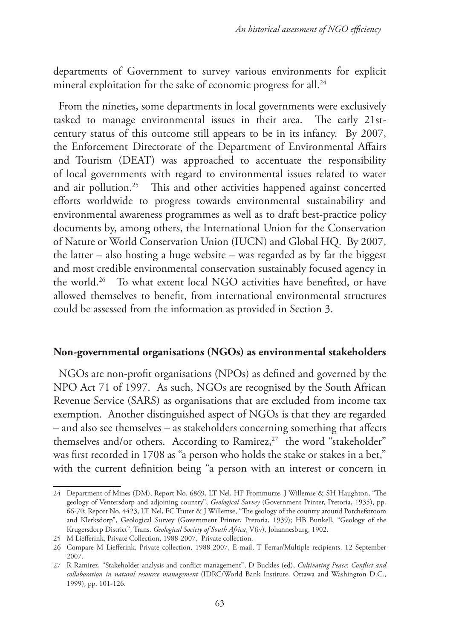departments of Government to survey various environments for explicit mineral exploitation for the sake of economic progress for all.<sup>24</sup>

From the nineties, some departments in local governments were exclusively tasked to manage environmental issues in their area. The early 21stcentury status of this outcome still appears to be in its infancy. By 2007, the Enforcement Directorate of the Department of Environmental Affairs and Tourism (DEAT) was approached to accentuate the responsibility of local governments with regard to environmental issues related to water and air pollution.25 This and other activities happened against concerted efforts worldwide to progress towards environmental sustainability and environmental awareness programmes as well as to draft best-practice policy documents by, among others, the International Union for the Conservation of Nature or World Conservation Union (IUCN) and Global HQ. By 2007, the latter – also hosting a huge website – was regarded as by far the biggest and most credible environmental conservation sustainably focused agency in the world.26 To what extent local NGO activities have benefited, or have allowed themselves to benefit, from international environmental structures could be assessed from the information as provided in Section 3.

#### **Non-governmental organisations (NGOs) as environmental stakeholders**

NGOs are non-profit organisations (NPOs) as defined and governed by the NPO Act 71 of 1997. As such, NGOs are recognised by the South African Revenue Service (SARS) as organisations that are excluded from income tax exemption. Another distinguished aspect of NGOs is that they are regarded – and also see themselves – as stakeholders concerning something that affects themselves and/or others. According to Ramirez, $27$  the word "stakeholder" was first recorded in 1708 as "a person who holds the stake or stakes in a bet," with the current definition being "a person with an interest or concern in

<sup>24</sup> Department of Mines (DM), Report No. 6869, LT Nel, HF Frommurze, J Willemse & SH Haughton, "The geology of Ventersdorp and adjoining country", *Geological Survey* (Government Printer, Pretoria, 1935), pp. 66-70; Report No. 4423, LT Nel, FC Truter & J Willemse, "The geology of the country around Potchefstroom and Klerksdorp", Geological Survey (Government Printer, Pretoria, 1939); HB Bunkell, "Geology of the Krugersdorp District", Trans. *Geological Society of South Africa*, V(iv), Johannesburg, 1902.

<sup>25</sup> M Liefferink, Private Collection, 1988-2007, Private collection.

<sup>26</sup> Compare M Liefferink, Private collection, 1988-2007, E-mail, T Ferrar/Multiple recipients, 12 September 2007.

<sup>27</sup> R Ramirez, "Stakeholder analysis and conflict management", D Buckles (ed), *Cultivating Peace*: *Conflict and collaboration in natural resource management* (IDRC/World Bank Institute, Ottawa and Washington D.C., 1999), pp. 101-126.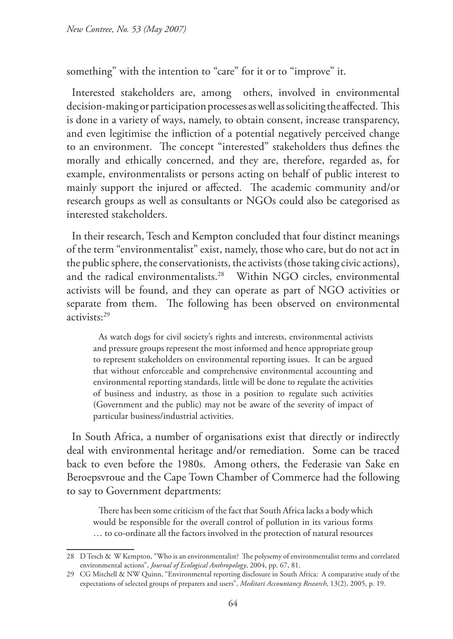something" with the intention to "care" for it or to "improve" it.

Interested stakeholders are, among others, involved in environmental decision-making or participation processes as well as soliciting the affected. This is done in a variety of ways, namely, to obtain consent, increase transparency, and even legitimise the infliction of a potential negatively perceived change to an environment. The concept "interested" stakeholders thus defines the morally and ethically concerned, and they are, therefore, regarded as, for example, environmentalists or persons acting on behalf of public interest to mainly support the injured or affected. The academic community and/or research groups as well as consultants or NGOs could also be categorised as interested stakeholders.

In their research, Tesch and Kempton concluded that four distinct meanings of the term "environmentalist" exist, namely, those who care, but do not act in the public sphere, the conservationists, the activists (those taking civic actions), and the radical environmentalists.<sup>28</sup> Within NGO circles, environmental activists will be found, and they can operate as part of NGO activities or separate from them. The following has been observed on environmental activists:29

As watch dogs for civil society's rights and interests, environmental activists and pressure groups represent the most informed and hence appropriate group to represent stakeholders on environmental reporting issues. It can be argued that without enforceable and comprehensive environmental accounting and environmental reporting standards, little will be done to regulate the activities of business and industry, as those in a position to regulate such activities (Government and the public) may not be aware of the severity of impact of particular business/industrial activities.

In South Africa, a number of organisations exist that directly or indirectly deal with environmental heritage and/or remediation. Some can be traced back to even before the 1980s. Among others, the Federasie van Sake en Beroepsvroue and the Cape Town Chamber of Commerce had the following to say to Government departments:

There has been some criticism of the fact that South Africa lacks a body which would be responsible for the overall control of pollution in its various forms … to co-ordinate all the factors involved in the protection of natural resources

<sup>28</sup> D Tesch & W Kempton, "Who is an environmentalist? The polysemy of environmentalist terms and correlated environmental actions", *Journal of Ecological Anthropology*, 2004, pp. 67, 81.

<sup>29</sup> CG Mitchell & NW Quinn, "Environmental reporting disclosure in South Africa: A comparative study of the expectations of selected groups of preparers and users", *Meditari Accountancy Research*, 13(2), 2005, p. 19.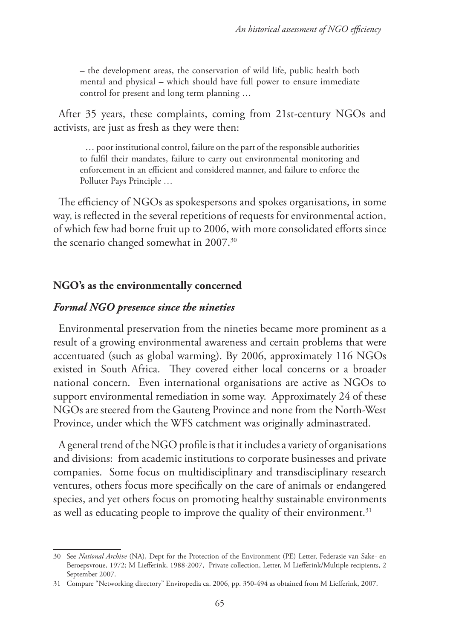– the development areas, the conservation of wild life, public health both mental and physical – which should have full power to ensure immediate control for present and long term planning …

After 35 years, these complaints, coming from 21st-century NGOs and activists, are just as fresh as they were then:

… poor institutional control, failure on the part of the responsible authorities to fulfil their mandates, failure to carry out environmental monitoring and enforcement in an efficient and considered manner, and failure to enforce the Polluter Pays Principle …

The efficiency of NGOs as spokespersons and spokes organisations, in some way, is reflected in the several repetitions of requests for environmental action, of which few had borne fruit up to 2006, with more consolidated efforts since the scenario changed somewhat in 2007.<sup>30</sup>

#### **NGO's as the environmentally concerned**

### *Formal NGO presence since the nineties*

Environmental preservation from the nineties became more prominent as a result of a growing environmental awareness and certain problems that were accentuated (such as global warming). By 2006, approximately 116 NGOs existed in South Africa. They covered either local concerns or a broader national concern. Even international organisations are active as NGOs to support environmental remediation in some way. Approximately 24 of these NGOs are steered from the Gauteng Province and none from the North-West Province, under which the WFS catchment was originally adminastrated.

A general trend of the NGO profile is that it includes a variety of organisations and divisions: from academic institutions to corporate businesses and private companies. Some focus on multidisciplinary and transdisciplinary research ventures, others focus more specifically on the care of animals or endangered species, and yet others focus on promoting healthy sustainable environments as well as educating people to improve the quality of their environment.<sup>31</sup>

<sup>30</sup> See *National Archive* (NA), Dept for the Protection of the Environment (PE) Letter, Federasie van Sake- en Beroepsvroue, 1972; M Liefferink, 1988-2007, Private collection, Letter, M Liefferink/Multiple recipients, 2 September 2007.

<sup>31</sup> Compare "Networking directory" Enviropedia ca. 2006, pp. 350-494 as obtained from M Liefferink, 2007.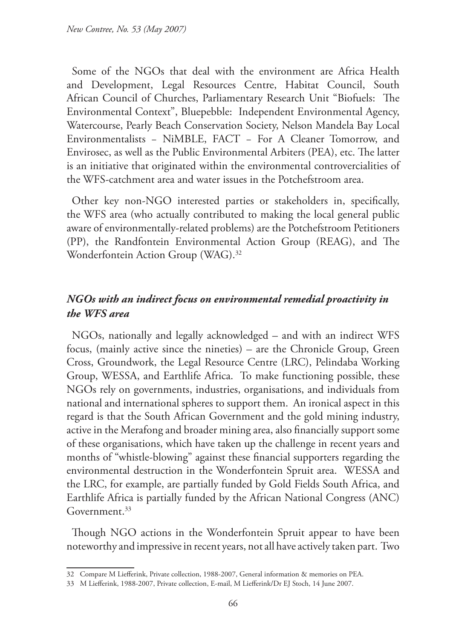Some of the NGOs that deal with the environment are Africa Health and Development, Legal Resources Centre, Habitat Council, South African Council of Churches, Parliamentary Research Unit "Biofuels: The Environmental Context", Bluepebble: Independent Environmental Agency, Watercourse, Pearly Beach Conservation Society, Nelson Mandela Bay Local Environmentalists - NiMBLE, FACT - For A Cleaner Tomorrow, and Envirosec, as well as the Public Environmental Arbiters (PEA), etc. The latter is an initiative that originated within the environmental controvercialities of the WFS-catchment area and water issues in the Potchefstroom area.

Other key non-NGO interested parties or stakeholders in, specifically, the WFS area (who actually contributed to making the local general public aware of environmentally-related problems) are the Potchefstroom Petitioners (PP), the Randfontein Environmental Action Group (REAG), and The Wonderfontein Action Group (WAG).32

## *NGOs with an indirect focus on environmental remedial proactivity in the WFS area*

NGOs, nationally and legally acknowledged – and with an indirect WFS focus, (mainly active since the nineties) – are the Chronicle Group, Green Cross, Groundwork, the Legal Resource Centre (LRC), Pelindaba Working Group, WESSA, and Earthlife Africa. To make functioning possible, these NGOs rely on governments, industries, organisations, and individuals from national and international spheres to support them. An ironical aspect in this regard is that the South African Government and the gold mining industry, active in the Merafong and broader mining area, also financially support some of these organisations, which have taken up the challenge in recent years and months of "whistle-blowing" against these financial supporters regarding the environmental destruction in the Wonderfontein Spruit area. WESSA and the LRC, for example, are partially funded by Gold Fields South Africa, and Earthlife Africa is partially funded by the African National Congress (ANC) Government.33

Though NGO actions in the Wonderfontein Spruit appear to have been noteworthy and impressive in recent years, not all have actively taken part. Two

<sup>32</sup> Compare M Liefferink, Private collection, 1988-2007, General information & memories on PEA.

<sup>33</sup> M Liefferink, 1988-2007, Private collection, E-mail, M Liefferink/Dr EJ Stoch, 14 June 2007.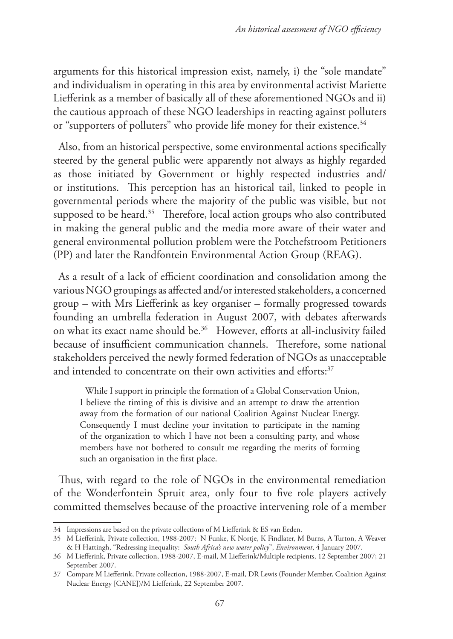arguments for this historical impression exist, namely, i) the "sole mandate" and individualism in operating in this area by environmental activist Mariette Liefferink as a member of basically all of these aforementioned NGOs and ii) the cautious approach of these NGO leaderships in reacting against polluters or "supporters of polluters" who provide life money for their existence.<sup>34</sup>

Also, from an historical perspective, some environmental actions specifically steered by the general public were apparently not always as highly regarded as those initiated by Government or highly respected industries and/ or institutions. This perception has an historical tail, linked to people in governmental periods where the majority of the public was visible, but not supposed to be heard.<sup>35</sup> Therefore, local action groups who also contributed in making the general public and the media more aware of their water and general environmental pollution problem were the Potchefstroom Petitioners (PP) and later the Randfontein Environmental Action Group (REAG).

As a result of a lack of efficient coordination and consolidation among the various NGO groupings as affected and/or interested stakeholders, a concerned group – with Mrs Liefferink as key organiser – formally progressed towards founding an umbrella federation in August 2007, with debates afterwards on what its exact name should be.36 However, efforts at all-inclusivity failed because of insufficient communication channels. Therefore, some national stakeholders perceived the newly formed federation of NGOs as unacceptable and intended to concentrate on their own activities and efforts:<sup>37</sup>

While I support in principle the formation of a Global Conservation Union, I believe the timing of this is divisive and an attempt to draw the attention away from the formation of our national Coalition Against Nuclear Energy. Consequently I must decline your invitation to participate in the naming of the organization to which I have not been a consulting party, and whose members have not bothered to consult me regarding the merits of forming such an organisation in the first place.

Thus, with regard to the role of NGOs in the environmental remediation of the Wonderfontein Spruit area, only four to five role players actively committed themselves because of the proactive intervening role of a member

<sup>34</sup> Impressions are based on the private collections of M Liefferink & ES van Eeden.

<sup>35</sup> M Liefferink, Private collection, 1988-2007; N Funke, K Nortje, K Findlater, M Burns, A Turton, A Weaver & H Hattingh, "Redressing inequality: *South Africa's new water policy*", *Environment*, 4 January 2007.

<sup>36</sup> M Liefferink, Private collection, 1988-2007, E-mail, M Liefferink/Multiple recipients, 12 September 2007; 21 September 2007.

<sup>37</sup> Compare M Liefferink, Private collection, 1988-2007, E-mail, DR Lewis (Founder Member, Coalition Against Nuclear Energy [CANE])/M Liefferink, 22 September 2007.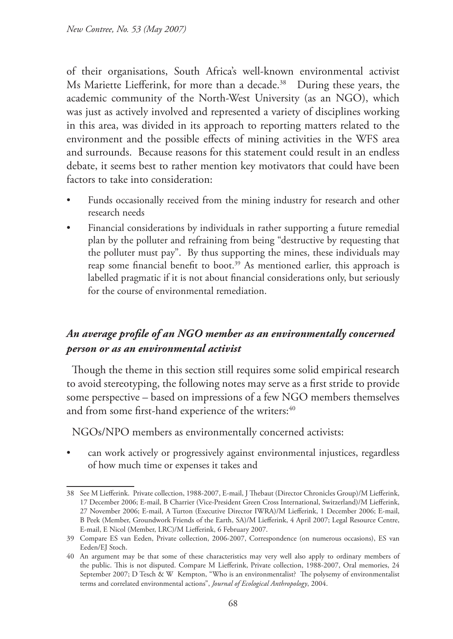of their organisations, South Africa's well-known environmental activist Ms Mariette Liefferink, for more than a decade.<sup>38</sup> During these years, the academic community of the North-West University (as an NGO), which was just as actively involved and represented a variety of disciplines working in this area, was divided in its approach to reporting matters related to the environment and the possible effects of mining activities in the WFS area and surrounds. Because reasons for this statement could result in an endless debate, it seems best to rather mention key motivators that could have been factors to take into consideration:

- Funds occasionally received from the mining industry for research and other research needs
- Financial considerations by individuals in rather supporting a future remedial plan by the polluter and refraining from being "destructive by requesting that the polluter must pay". By thus supporting the mines, these individuals may reap some financial benefit to boot.<sup>39</sup> As mentioned earlier, this approach is labelled pragmatic if it is not about financial considerations only, but seriously for the course of environmental remediation.

## *An average profile of an NGO member as an environmentally concerned person or as an environmental activist*

Though the theme in this section still requires some solid empirical research to avoid stereotyping, the following notes may serve as a first stride to provide some perspective – based on impressions of a few NGO members themselves and from some first-hand experience of the writers:<sup>40</sup>

NGOs/NPO members as environmentally concerned activists:

• can work actively or progressively against environmental injustices, regardless of how much time or expenses it takes and

<sup>38</sup> See M Liefferink. Private collection, 1988-2007, E-mail, J Thebaut (Director Chronicles Group)/M Liefferink, 17 December 2006; E-mail, B Charrier (Vice-President Green Cross International, Switzerland)/M Liefferink, 27 November 2006; E-mail, A Turton (Executive Director IWRA)/M Liefferink, 1 December 2006; E-mail, B Peek (Member, Groundwork Friends of the Earth, SA)/M Liefferink, 4 April 2007; Legal Resource Centre, E-mail, E Nicol (Member, LRC)/M Liefferink, 6 February 2007.

<sup>39</sup> Compare ES van Eeden, Private collection, 2006-2007, Correspondence (on numerous occasions), ES van Eeden/EJ Stoch.

<sup>40</sup> An argument may be that some of these characteristics may very well also apply to ordinary members of the public. This is not disputed. Compare M Liefferink, Private collection, 1988-2007, Oral memories, 24 September 2007; D Tesch & W Kempton, "Who is an environmentalist? The polysemy of environmentalist terms and correlated environmental actions", *Journal of Ecological Anthropology*, 2004.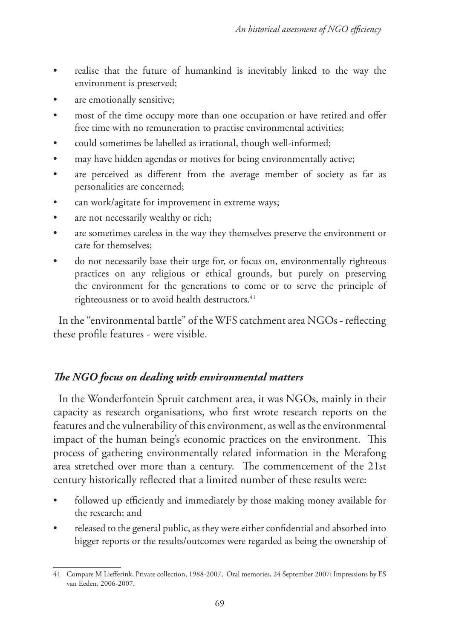- realise that the future of humankind is inevitably linked to the way the environment is preserved;
- are emotionally sensitive;
- most of the time occupy more than one occupation or have retired and offer free time with no remuneration to practise environmental activities;
- could sometimes be labelled as irrational, though well-informed;
- may have hidden agendas or motives for being environmentally active;
- are perceived as different from the average member of society as far as personalities are concerned;
- can work/agitate for improvement in extreme ways;
- are not necessarily wealthy or rich;
- are sometimes careless in the way they themselves preserve the environment or care for themselves;
- do not necessarily base their urge for, or focus on, environmentally righteous practices on any religious or ethical grounds, but purely on preserving the environment for the generations to come or to serve the principle of righteousness or to avoid health destructors.<sup>41</sup>

In the "environmental battle" of the WFS catchment area NGOs - reflecting these profile features - were visible.

## *The NGO focus on dealing with environmental matters*

In the Wonderfontein Spruit catchment area, it was NGOs, mainly in their capacity as research organisations, who first wrote research reports on the features and the vulnerability of this environment, as well as the environmental impact of the human being's economic practices on the environment. This process of gathering environmentally related information in the Merafong area stretched over more than a century. The commencement of the 21st century historically reflected that a limited number of these results were:

- followed up efficiently and immediately by those making money available for the research; and
- released to the general public, as they were either confidential and absorbed into bigger reports or the results/outcomes were regarded as being the ownership of

<sup>41</sup> Compare M Liefferink, Private collection, 1988-2007, Oral memories, 24 September 2007; Impressions by ES van Eeden, 2006-2007.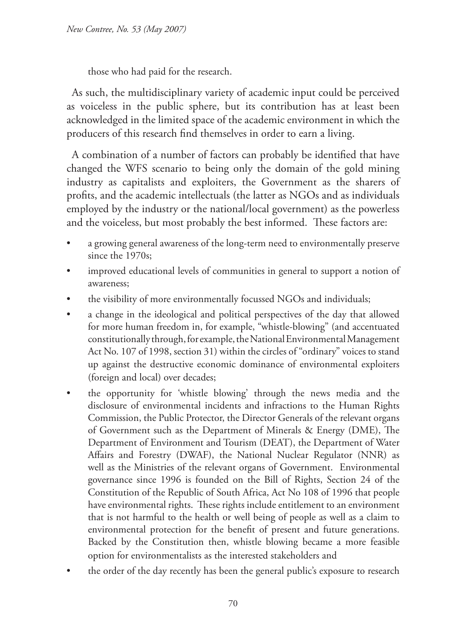those who had paid for the research.

As such, the multidisciplinary variety of academic input could be perceived as voiceless in the public sphere, but its contribution has at least been acknowledged in the limited space of the academic environment in which the producers of this research find themselves in order to earn a living.

A combination of a number of factors can probably be identified that have changed the WFS scenario to being only the domain of the gold mining industry as capitalists and exploiters, the Government as the sharers of profits, and the academic intellectuals (the latter as NGOs and as individuals employed by the industry or the national/local government) as the powerless and the voiceless, but most probably the best informed. These factors are:

- a growing general awareness of the long-term need to environmentally preserve since the 1970s;
- improved educational levels of communities in general to support a notion of awareness;
- the visibility of more environmentally focussed NGOs and individuals;
- a change in the ideological and political perspectives of the day that allowed for more human freedom in, for example, "whistle-blowing" (and accentuated constitutionally through, for example, the National Environmental Management Act No. 107 of 1998, section 31) within the circles of "ordinary" voices to stand up against the destructive economic dominance of environmental exploiters (foreign and local) over decades;
- the opportunity for 'whistle blowing' through the news media and the disclosure of environmental incidents and infractions to the Human Rights Commission, the Public Protector, the Director Generals of the relevant organs of Government such as the Department of Minerals & Energy (DME), The Department of Environment and Tourism (DEAT), the Department of Water Affairs and Forestry (DWAF), the National Nuclear Regulator (NNR) as well as the Ministries of the relevant organs of Government. Environmental governance since 1996 is founded on the Bill of Rights, Section 24 of the Constitution of the Republic of South Africa, Act No 108 of 1996 that people have environmental rights. These rights include entitlement to an environment that is not harmful to the health or well being of people as well as a claim to environmental protection for the benefit of present and future generations. Backed by the Constitution then, whistle blowing became a more feasible option for environmentalists as the interested stakeholders and
- the order of the day recently has been the general public's exposure to research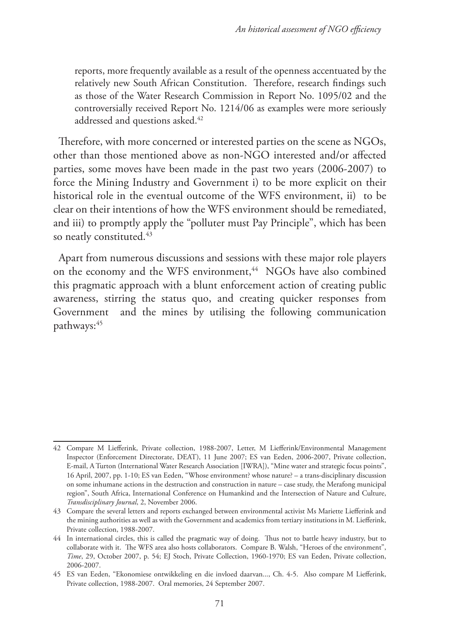reports, more frequently available as a result of the openness accentuated by the relatively new South African Constitution. Therefore, research findings such as those of the Water Research Commission in Report No. 1095/02 and the controversially received Report No. 1214/06 as examples were more seriously addressed and questions asked.<sup>42</sup>

Therefore, with more concerned or interested parties on the scene as NGOs, other than those mentioned above as non-NGO interested and/or affected parties, some moves have been made in the past two years (2006-2007) to force the Mining Industry and Government i) to be more explicit on their historical role in the eventual outcome of the WFS environment, ii) to be clear on their intentions of how the WFS environment should be remediated, and iii) to promptly apply the "polluter must Pay Principle", which has been so neatly constituted.<sup>43</sup>

Apart from numerous discussions and sessions with these major role players on the economy and the WFS environment,<sup>44</sup> NGOs have also combined this pragmatic approach with a blunt enforcement action of creating public awareness, stirring the status quo, and creating quicker responses from Government and the mines by utilising the following communication pathways:45

<sup>42</sup> Compare M Liefferink, Private collection, 1988-2007, Letter, M Liefferink/Environmental Management Inspector (Enforcement Directorate, DEAT), 11 June 2007; ES van Eeden, 2006-2007, Private collection, E-mail, A Turton (International Water Research Association [IWRA]), "Mine water and strategic focus points", 16 April, 2007, pp. 1-10; ES van Eeden, "Whose environment? whose nature? – a trans-disciplinary discussion on some inhumane actions in the destruction and construction in nature – case study, the Merafong municipal region", South Africa, International Conference on Humankind and the Intersection of Nature and Culture, *Transdisciplinary Journal*, 2, November 2006.

<sup>43</sup> Compare the several letters and reports exchanged between environmental activist Ms Mariette Liefferink and the mining authorities as well as with the Government and academics from tertiary institutions in M. Liefferink, Private collection, 1988-2007.

<sup>44</sup> In international circles, this is called the pragmatic way of doing. Thus not to battle heavy industry, but to collaborate with it. The WFS area also hosts collaborators. Compare B. Walsh, "Heroes of the environment", *Time*, 29, October 2007, p. 54; EJ Stoch, Private Collection, 1960-1970; ES van Eeden, Private collection, 2006-2007.

<sup>45</sup> ES van Eeden, "Ekonomiese ontwikkeling en die invloed daarvan..., Ch. 4-5. Also compare M Liefferink, Private collection, 1988-2007. Oral memories, 24 September 2007.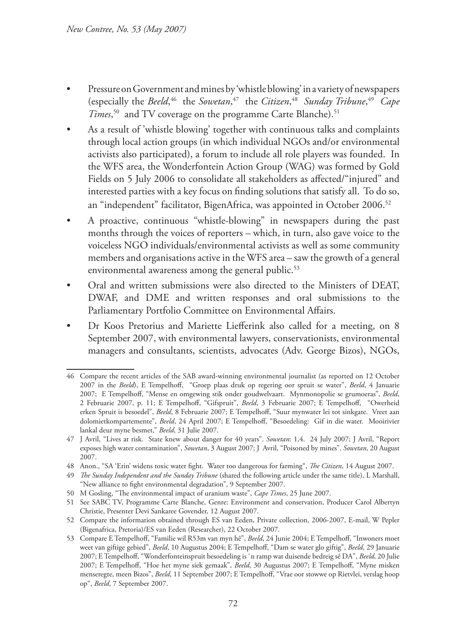- Pressure on Government and mines by 'whistle blowing' in a variety of newspapers (especially the *Beeld*, 46 the *Sowetan*, 47 the *Citizen*, 48 *Sunday Tribune*, 49 *Cape Times*<sup>50</sup> and TV coverage on the programme Carte Blanche).<sup>51</sup>
- As a result of 'whistle blowing' together with continuous talks and complaints through local action groups (in which individual NGOs and/or environmental activists also participated), a forum to include all role players was founded. In the WFS area, the Wonderfontein Action Group (WAG) was formed by Gold Fields on 5 July 2006 to consolidate all stakeholders as affected/"injured" and interested parties with a key focus on finding solutions that satisfy all. To do so, an "independent" facilitator, BigenAfrica, was appointed in October 2006.<sup>52</sup>
- A proactive, continuous "whistle-blowing" in newspapers during the past months through the voices of reporters – which, in turn, also gave voice to the voiceless NGO individuals/environmental activists as well as some community members and organisations active in the WFS area – saw the growth of a general environmental awareness among the general public.<sup>53</sup>
- Oral and written submissions were also directed to the Ministers of DEAT, DWAF, and DME and written responses and oral submissions to the Parliamentary Portfolio Committee on Environmental Affairs.
- Dr Koos Pretorius and Mariette Liefferink also called for a meeting, on 8 September 2007, with environmental lawyers, conservationists, environmental managers and consultants, scientists, advocates (Adv. George Bizos), NGOs,

<sup>46</sup> Compare the recent articles of the SAB award-winning environmental journalist (as reported on 12 October 2007 in the *Beeld*), E Tempelhoff, "Groep plaas druk op regering oor spruit se water", *Beeld*, 4 Januarie 2007; E Tempelhoff, "Mense en omgewing stik onder goudwelvaart. Mynmonopolie se grumoeras", *Beeld*, 2 Februarie 2007, p. 11; E Tempelhoff, "Gifspruit", *Beeld*, 3 Februarie 2007; E Tempelhoff, "Owerheid erken Spruit is besoedel", *Beeld*, 8 Februarie 2007; E Tempelhoff, "Suur mynwater lei tot sinkgate. Vreet aan dolomietkompartemente", *Beeld*, 24 April 2007; E Tempelhoff, "Besoedeling: Gif in die water. Mooirivier lankal deur myne besmet," *Beeld*, 31 Julie 2007.

<sup>47</sup> J Avril, "Lives at risk. State knew about danger for 40 years". *Sowetan*: 1,4. 24 July 2007; J Avril, "Report exposes high water contamination", *Sowetan*, 3 August 2007; J Avril, "Poisoned by mines". *Sowetan*, 20 August 2007.

<sup>48</sup> Anon., "SA 'Erin' widens toxic water fight. Water too dangerous for farming", *The Citizen*, 14 August 2007.

<sup>49</sup> *The Sunday Independent and the Sunday Tribune* (shared the following article under the same title), L Marshall, "New alliance to fight environmental degradation", 9 September 2007.

<sup>50</sup> M Gosling, "The environmental impact of uranium waste", *Cape Times*, 25 June 2007.

<sup>51</sup> See SABC TV, Programme Carte Blanche, Genre: Environment and conservation, Producer Carol Albertyn Christie, Presenter Devi Sankaree Govender, 12 August 2007.

<sup>52</sup> Compare the information obtained through ES van Eeden, Private collection, 2006-2007, E-mail, W Pepler (Bigenafrica, Pretoria)/ES van Eeden (Researcher), 22 October 2007.

<sup>53</sup> Compare E Tempelhoff, "Familie wil R53m van myn hê", *Beeld*, 24 Junie 2004; E Tempelhoff, "Inwoners moet weet van giftige gebied", *Beeld*, 10 Augustus 2004; E Tempelhoff, "Dam se water glo giftig", *Beeld*, 29 Januarie 2007; E Tempelhoff, "Wonderfonteinspruit besoedeling is `n ramp wat duisende bedreig sê DA", *Beeld*, 20 Julie 2007; E Tempelhoff, "Hoe het myne siek gemaak", *Beeld*, 30 Augustus 2007; E Tempelhoff, "Myne misken menseregte, meen Bizos", *Beeld*, 11 September 2007; E Tempelhoff, "Vrae oor stowwe op Rietvlei, verslag hoop op", *Beeld*, 7 September 2007.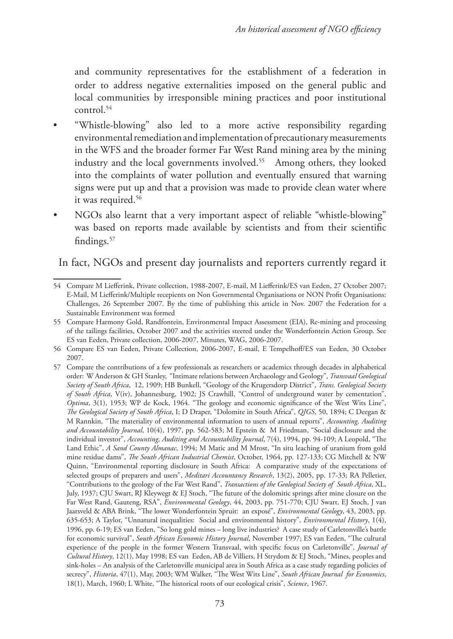and community representatives for the establishment of a federation in order to address negative externalities imposed on the general public and local communities by irresponsible mining practices and poor institutional control.54

- "Whistle-blowing" also led to a more active responsibility regarding environmental remediation and implementation of precautionary measurements in the WFS and the broader former Far West Rand mining area by the mining industry and the local governments involved.<sup>55</sup> Among others, they looked into the complaints of water pollution and eventually ensured that warning signs were put up and that a provision was made to provide clean water where it was required.<sup>56</sup>
- NGOs also learnt that a very important aspect of reliable "whistle-blowing" was based on reports made available by scientists and from their scientific findings.57

In fact, NGOs and present day journalists and reporters currently regard it

<sup>54</sup> Compare M Liefferink, Private collection, 1988-2007, E-mail, M Liefferink/ES van Eeden, 27 October 2007; E-Mail, M Liefferink/Multiple recepients on Non Governmental Organisations or NON Profit Organisations: Challenges, 26 September 2007. By the time of publishing this article in Nov. 2007 the Federation for a Sustainable Environment was formed

<sup>55</sup> Compare Harmony Gold, Randfontein, Environmental Impact Assessment (EIA), Re-mining and processing of the tailings facilities, October 2007 and the activities steered under the Wonderfontein Action Group. See ES van Eeden, Private collection, 2006-2007, Minutes, WAG, 2006-2007.

<sup>56</sup> Compare ES van Eeden, Private Collection, 2006-2007, E-mail, E Tempelhoff/ES van Eeden, 30 October 2007.

<sup>57</sup> Compare the contributions of a few professionals as researchers or academics through decades in alphabetical order: W Anderson & GH Stanley, "Intimate relations between Archaeology and Geology", *Transvaal Geological Society of South Africa*, 12, 1909; HB Bunkell, "Geology of the Krugersdorp District", *Trans. Geological Society of South Africa*, V(iv), Johannesburg, 1902; JS Crawhill, "Control of underground water by cementation", *Optima*, 3(1), 1953; WP de Kock, 1964. "The geology and economic significance of the West Wits Line", *The Geological Society of South Africa*, I; D Draper, "Dolomite in South Africa", *QJGS*, 50, 1894; C Deegan & M Rannkin, "The materiality of environmental information to users of annual reports", *Accounting, Auditing and Accountability Journal*, 10(4), 1997, pp. 562-583; M Epstein & M Friedman, "Social disclosure and the individual investor", *Accounting, Auditing and Accountability Journal*, 7(4), 1994, pp. 94-109; A Leopold, "The Land Ethic", *A Sand County Almanac*, 1994; M Matic and M Mrost, "In situ leaching of uranium from gold mine residue dams", *The South African Industrial Chemist*, October, 1964, pp. 127-133; CG Mitchell & NW Quinn, "Environmental reporting disclosure in South Africa: A comparative study of the expectations of selected groups of preparers and users", *Meditari Accountancy Research*, 13(2), 2005, pp. 17-33; RA Pelletier, "Contributions to the geology of the Far West Rand", *Transactions of the Geological Society of South Africa*, XL, July, 1937; CJU Swart, RJ Kleywegt & EJ Stoch, "The future of the dolomitic springs after mine closure on the Far West Rand, Gauteng, RSA", *Environmental Geology*, 44, 2003, pp. 751-770; CJU Swart, EJ Stoch, J van Jaarsveld & ABA Brink, "The lower Wonderfontein Spruit: an exposé", *Environmental Geology*, 43, 2003, pp. 635-653; A Taylor, "Unnatural inequalities: Social and environmental history", *Environmental History*, 1(4), 1996, pp. 6-19; ES van Eeden, "So long gold mines – long live industries? A case study of Carletonville's battle for economic survival", *South African Economic History Journal*, November 1997; ES van Eeden, "The cultural experience of the people in the former Western Transvaal, with specific focus on Carletonville", *Journal of Cultural History*, 12(1), May 1998; ES van Eeden, AB de Villiers, H Strydom & EJ Stoch, "Mines, peoples and sink-holes – An analysis of the Carletonville municipal area in South Africa as a case study regarding policies of secrecy", *Historia*, 47(1), May, 2003; WM Walker, "The West Wits Line", *South African Journal for Economics*, 18(1), March, 1960; L White, "The historical roots of our ecological crisis", *Science*, 1967.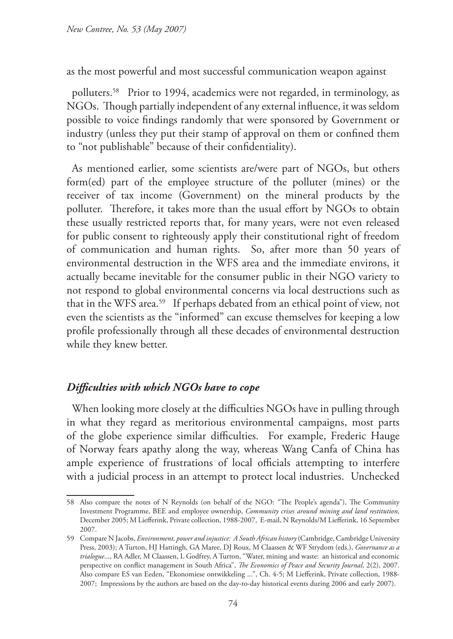as the most powerful and most successful communication weapon against

polluters.58 Prior to 1994, academics were not regarded, in terminology, as NGOs. Though partially independent of any external influence, it was seldom possible to voice findings randomly that were sponsored by Government or industry (unless they put their stamp of approval on them or confined them to "not publishable" because of their confidentiality).

As mentioned earlier, some scientists are/were part of NGOs, but others form(ed) part of the employee structure of the polluter (mines) or the receiver of tax income (Government) on the mineral products by the polluter. Therefore, it takes more than the usual effort by NGOs to obtain these usually restricted reports that, for many years, were not even released for public consent to righteously apply their constitutional right of freedom of communication and human rights. So, after more than 50 years of environmental destruction in the WFS area and the immediate environs, it actually became inevitable for the consumer public in their NGO variety to not respond to global environmental concerns via local destructions such as that in the WFS area.59 If perhaps debated from an ethical point of view, not even the scientists as the "informed" can excuse themselves for keeping a low profile professionally through all these decades of environmental destruction while they knew better.

## *Difficulties with which NGOs have to cope*

When looking more closely at the difficulties NGOs have in pulling through in what they regard as meritorious environmental campaigns, most parts of the globe experience similar difficulties. For example, Frederic Hauge of Norway fears apathy along the way, whereas Wang Canfa of China has ample experience of frustrations of local officials attempting to interfere with a judicial process in an attempt to protect local industries. Unchecked

<sup>58</sup> Also compare the notes of N Reynolds (on behalf of the NGO: "The People's agenda"), The Community Investment Programme, BEE and employee ownership, *Community crises around mining and land restitution*, December 2005; M Liefferink, Private collection, 1988-2007, E-mail, N Reynolds/M Liefferink, 16 September 2007.

<sup>59</sup> Compare N Jacobs, *Environment, power and injustice: A South African history* (Cambridge, Cambridge University Press, 2003); A Turton, HJ Hattingh, GA Maree, DJ Roux, M Claassen & WF Strydom (eds.), *Governance as a trialogue*..., RA Adler, M Claassen, L Godfrey, A Turton, "Water, mining and waste: an historical and economic perspective on conflict management in South Africa", *The Economics of Peace and Security Journal*, 2(2), 2007. Also compare ES van Eeden, "Ekonomiese ontwikkeling ...", Ch. 4-5; M Liefferink, Private collection, 1988- 2007; Impressions by the authors are based on the day-to-day historical events during 2006 and early 2007).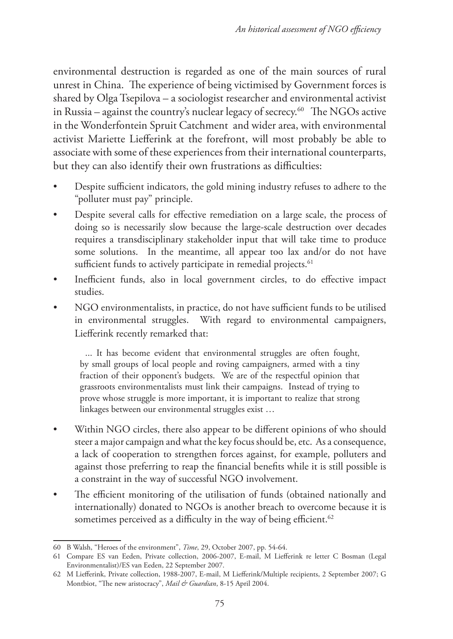environmental destruction is regarded as one of the main sources of rural unrest in China. The experience of being victimised by Government forces is shared by Olga Tsepilova – a sociologist researcher and environmental activist in Russia – against the country's nuclear legacy of secrecy.<sup>60</sup> The NGOs active in the Wonderfontein Spruit Catchment and wider area, with environmental activist Mariette Liefferink at the forefront, will most probably be able to associate with some of these experiences from their international counterparts, but they can also identify their own frustrations as difficulties:

- Despite sufficient indicators, the gold mining industry refuses to adhere to the "polluter must pay" principle.
- Despite several calls for effective remediation on a large scale, the process of doing so is necessarily slow because the large-scale destruction over decades requires a transdisciplinary stakeholder input that will take time to produce some solutions. In the meantime, all appear too lax and/or do not have sufficient funds to actively participate in remedial projects.<sup>61</sup>
- Inefficient funds, also in local government circles, to do effective impact studies.
- NGO environmentalists, in practice, do not have sufficient funds to be utilised in environmental struggles. With regard to environmental campaigners, Liefferink recently remarked that:

... It has become evident that environmental struggles are often fought, by small groups of local people and roving campaigners, armed with a tiny fraction of their opponent's budgets. We are of the respectful opinion that grassroots environmentalists must link their campaigns. Instead of trying to prove whose struggle is more important, it is important to realize that strong linkages between our environmental struggles exist …

- Within NGO circles, there also appear to be different opinions of who should steer a major campaign and what the key focus should be, etc. As a consequence, a lack of cooperation to strengthen forces against, for example, polluters and against those preferring to reap the financial benefits while it is still possible is a constraint in the way of successful NGO involvement.
- The efficient monitoring of the utilisation of funds (obtained nationally and internationally) donated to NGOs is another breach to overcome because it is sometimes perceived as a difficulty in the way of being efficient.<sup>62</sup>

<sup>60</sup> B Walsh, "Heroes of the environment", *Time*, 29, October 2007, pp. 54-64.

<sup>61</sup> Compare ES van Eeden, Private collection, 2006-2007, E-mail, M Liefferink re letter C Bosman (Legal Environmentalist)/ES van Eeden, 22 September 2007.

<sup>62</sup> M Liefferink, Private collection, 1988-2007, E-mail, M Liefferink/Multiple recipients, 2 September 2007; G Montbiot, "The new aristocracy", *Mail & Guardian*, 8-15 April 2004.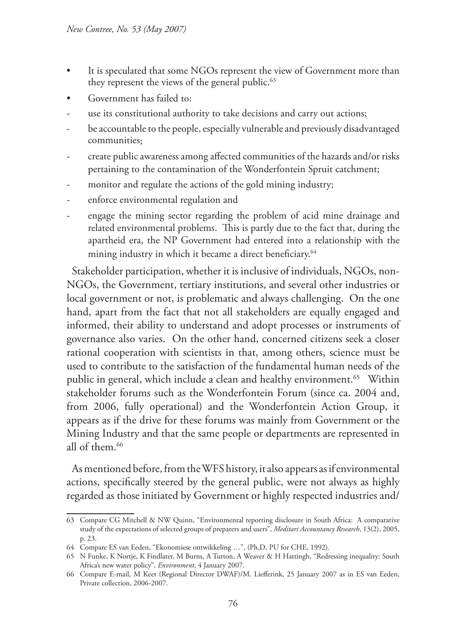- It is speculated that some NGOs represent the view of Government more than they represent the views of the general public.<sup>63</sup>
- Government has failed to:
- use its constitutional authority to take decisions and carry out actions;
- be accountable to the people, especially vulnerable and previously disadvantaged communities;
- create public awareness among affected communities of the hazards and/or risks pertaining to the contamination of the Wonderfontein Spruit catchment;
- monitor and regulate the actions of the gold mining industry;
- enforce environmental regulation and
- engage the mining sector regarding the problem of acid mine drainage and related environmental problems. This is partly due to the fact that, during the apartheid era, the NP Government had entered into a relationship with the mining industry in which it became a direct beneficiary.<sup>64</sup>

Stakeholder participation, whether it is inclusive of individuals, NGOs, non-NGOs, the Government, tertiary institutions, and several other industries or local government or not, is problematic and always challenging. On the one hand, apart from the fact that not all stakeholders are equally engaged and informed, their ability to understand and adopt processes or instruments of governance also varies. On the other hand, concerned citizens seek a closer rational cooperation with scientists in that, among others, science must be used to contribute to the satisfaction of the fundamental human needs of the public in general, which include a clean and healthy environment.<sup>65</sup> Within stakeholder forums such as the Wonderfontein Forum (since ca. 2004 and, from 2006, fully operational) and the Wonderfontein Action Group, it appears as if the drive for these forums was mainly from Government or the Mining Industry and that the same people or departments are represented in all of them.66

As mentioned before, from the WFS history, it also appears as if environmental actions, specifically steered by the general public, were not always as highly regarded as those initiated by Government or highly respected industries and/

<sup>63</sup> Compare CG Mitchell & NW Quinn, "Environmental reporting disclosure in South Africa: A comparative study of the expectations of selected groups of preparers and users", *Meditari Accountancy Research*, 13(2), 2005, p. 23.

<sup>64</sup> Compare ES van Eeden, "Ekonomiese ontwikkeling …", (Ph.D, PU for CHE, 1992).

<sup>65</sup> N Funke, K Nortje, K Findlater, M Burns, A Turton, A Weaver & H Hattingh, "Redressing inequality: South Africa's new water policy", *Environment*, 4 January 2007.

<sup>66</sup> Compare E-mail, M Keet (Regional Director DWAF)/M. Liefferink, 25 January 2007 as in ES van Eeden, Private collection, 2006-2007.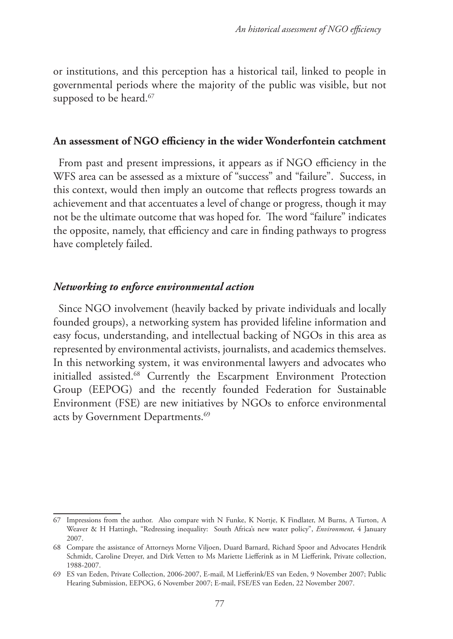or institutions, and this perception has a historical tail, linked to people in governmental periods where the majority of the public was visible, but not supposed to be heard.<sup>67</sup>

### **An assessment of NGO efficiency in the wider Wonderfontein catchment**

From past and present impressions, it appears as if NGO efficiency in the WFS area can be assessed as a mixture of "success" and "failure". Success, in this context, would then imply an outcome that reflects progress towards an achievement and that accentuates a level of change or progress, though it may not be the ultimate outcome that was hoped for. The word "failure" indicates the opposite, namely, that efficiency and care in finding pathways to progress have completely failed.

## *Networking to enforce environmental action*

Since NGO involvement (heavily backed by private individuals and locally founded groups), a networking system has provided lifeline information and easy focus, understanding, and intellectual backing of NGOs in this area as represented by environmental activists, journalists, and academics themselves. In this networking system, it was environmental lawyers and advocates who initialled assisted.68 Currently the Escarpment Environment Protection Group (EEPOG) and the recently founded Federation for Sustainable Environment (FSE) are new initiatives by NGOs to enforce environmental acts by Government Departments.<sup>69</sup>

<sup>67</sup> Impressions from the author. Also compare with N Funke, K Nortje, K Findlater, M Burns, A Turton, A Weaver & H Hattingh, "Redressing inequality: South Africa's new water policy", *Environment*, 4 January 2007.

<sup>68</sup> Compare the assistance of Attorneys Morne Viljoen, Duard Barnard, Richard Spoor and Advocates Hendrik Schmidt, Caroline Dreyer, and Dirk Vetten to Ms Mariette Liefferink as in M Liefferink, Private collection, 1988-2007.

<sup>69</sup> ES van Eeden, Private Collection, 2006-2007, E-mail, M Liefferink/ES van Eeden, 9 November 2007; Public Hearing Submission, EEPOG, 6 November 2007; E-mail, FSE/ES van Eeden, 22 November 2007.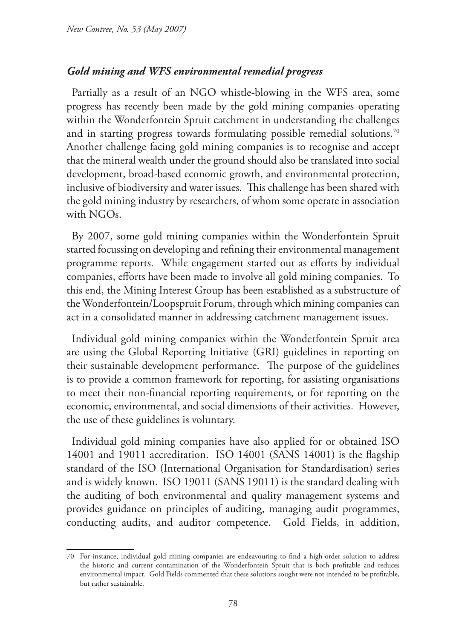## *Gold mining and WFS environmental remedial progress*

Partially as a result of an NGO whistle-blowing in the WFS area, some progress has recently been made by the gold mining companies operating within the Wonderfontein Spruit catchment in understanding the challenges and in starting progress towards formulating possible remedial solutions.<sup>70</sup> Another challenge facing gold mining companies is to recognise and accept that the mineral wealth under the ground should also be translated into social development, broad-based economic growth, and environmental protection, inclusive of biodiversity and water issues. This challenge has been shared with the gold mining industry by researchers, of whom some operate in association with NGOs.

By 2007, some gold mining companies within the Wonderfontein Spruit started focussing on developing and refining their environmental management programme reports. While engagement started out as efforts by individual companies, efforts have been made to involve all gold mining companies. To this end, the Mining Interest Group has been established as a substructure of the Wonderfontein/Loopspruit Forum, through which mining companies can act in a consolidated manner in addressing catchment management issues.

Individual gold mining companies within the Wonderfontein Spruit area are using the Global Reporting Initiative (GRI) guidelines in reporting on their sustainable development performance. The purpose of the guidelines is to provide a common framework for reporting, for assisting organisations to meet their non-financial reporting requirements, or for reporting on the economic, environmental, and social dimensions of their activities. However, the use of these guidelines is voluntary.

Individual gold mining companies have also applied for or obtained ISO 14001 and 19011 accreditation. ISO 14001 (SANS 14001) is the flagship standard of the ISO (International Organisation for Standardisation) series and is widely known. ISO 19011 (SANS 19011) is the standard dealing with the auditing of both environmental and quality management systems and provides guidance on principles of auditing, managing audit programmes, conducting audits, and auditor competence. Gold Fields, in addition,

<sup>70</sup> For instance, individual gold mining companies are endeavouring to find a high-order solution to address the historic and current contamination of the Wonderfontein Spruit that is both profitable and reduces environmental impact. Gold Fields commented that these solutions sought were not intended to be profitable, but rather sustainable.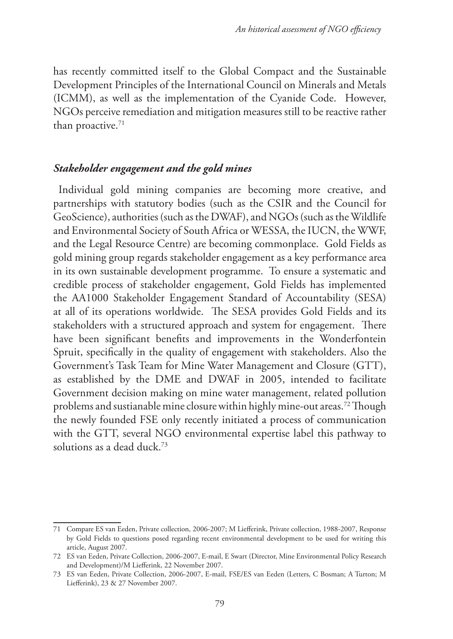has recently committed itself to the Global Compact and the Sustainable Development Principles of the International Council on Minerals and Metals (ICMM), as well as the implementation of the Cyanide Code. However, NGOs perceive remediation and mitigation measures still to be reactive rather than proactive.<sup>71</sup>

### *Stakeholder engagement and the gold mines*

Individual gold mining companies are becoming more creative, and partnerships with statutory bodies (such as the CSIR and the Council for GeoScience), authorities (such as the DWAF), and NGOs (such as the Wildlife and Environmental Society of South Africa or WESSA, the IUCN, the WWF, and the Legal Resource Centre) are becoming commonplace. Gold Fields as gold mining group regards stakeholder engagement as a key performance area in its own sustainable development programme. To ensure a systematic and credible process of stakeholder engagement, Gold Fields has implemented the AA1000 Stakeholder Engagement Standard of Accountability (SESA) at all of its operations worldwide. The SESA provides Gold Fields and its stakeholders with a structured approach and system for engagement. There have been significant benefits and improvements in the Wonderfontein Spruit, specifically in the quality of engagement with stakeholders. Also the Government's Task Team for Mine Water Management and Closure (GTT), as established by the DME and DWAF in 2005, intended to facilitate Government decision making on mine water management, related pollution problems and sustianable mine closure within highly mine-out areas.72 Though the newly founded FSE only recently initiated a process of communication with the GTT, several NGO environmental expertise label this pathway to solutions as a dead duck.73

<sup>71</sup> Compare ES van Eeden, Private collection, 2006-2007; M Liefferink, Private collection, 1988-2007, Response by Gold Fields to questions posed regarding recent environmental development to be used for writing this article, August 2007.

<sup>72</sup> ES van Eeden, Private Collection, 2006-2007, E-mail, E Swart (Director, Mine Environmental Policy Research and Development)/M Liefferink, 22 November 2007.

<sup>73</sup> ES van Eeden, Private Collection, 2006-2007, E-mail, FSE/ES van Eeden (Letters, C Bosman; A Turton; M Liefferink), 23 & 27 November 2007.